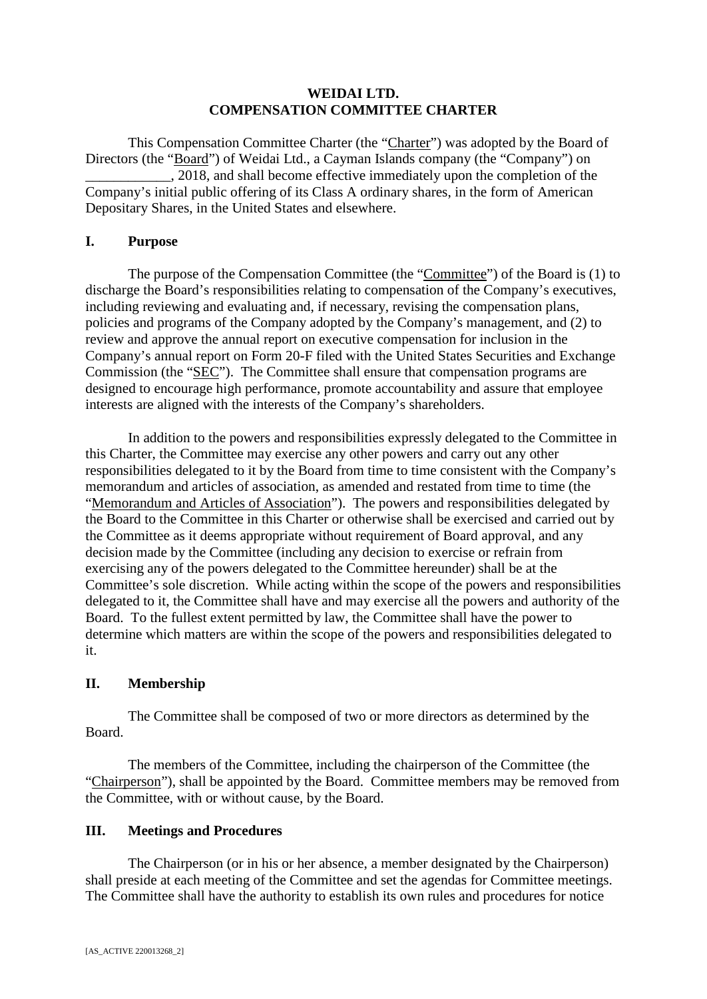## **WEIDAI LTD. COMPENSATION COMMITTEE CHARTER**

This Compensation Committee Charter (the "Charter") was adopted by the Board of Directors (the "Board") of Weidai Ltd., a Cayman Islands company (the "Company") on \_\_\_\_\_\_\_\_\_\_\_\_, 2018, and shall become effective immediately upon the completion of the Company's initial public offering of its Class A ordinary shares, in the form of American Depositary Shares, in the United States and elsewhere.

## **I. Purpose**

The purpose of the Compensation Committee (the "Committee") of the Board is (1) to discharge the Board's responsibilities relating to compensation of the Company's executives, including reviewing and evaluating and, if necessary, revising the compensation plans, policies and programs of the Company adopted by the Company's management, and (2) to review and approve the annual report on executive compensation for inclusion in the Company's annual report on Form 20-F filed with the United States Securities and Exchange Commission (the "SEC"). The Committee shall ensure that compensation programs are designed to encourage high performance, promote accountability and assure that employee interests are aligned with the interests of the Company's shareholders.

In addition to the powers and responsibilities expressly delegated to the Committee in this Charter, the Committee may exercise any other powers and carry out any other responsibilities delegated to it by the Board from time to time consistent with the Company's memorandum and articles of association, as amended and restated from time to time (the "Memorandum and Articles of Association"). The powers and responsibilities delegated by the Board to the Committee in this Charter or otherwise shall be exercised and carried out by the Committee as it deems appropriate without requirement of Board approval, and any decision made by the Committee (including any decision to exercise or refrain from exercising any of the powers delegated to the Committee hereunder) shall be at the Committee's sole discretion. While acting within the scope of the powers and responsibilities delegated to it, the Committee shall have and may exercise all the powers and authority of the Board. To the fullest extent permitted by law, the Committee shall have the power to determine which matters are within the scope of the powers and responsibilities delegated to it.

# **II. Membership**

The Committee shall be composed of two or more directors as determined by the Board.

The members of the Committee, including the chairperson of the Committee (the "Chairperson"), shall be appointed by the Board. Committee members may be removed from the Committee, with or without cause, by the Board.

# **III. Meetings and Procedures**

The Chairperson (or in his or her absence, a member designated by the Chairperson) shall preside at each meeting of the Committee and set the agendas for Committee meetings. The Committee shall have the authority to establish its own rules and procedures for notice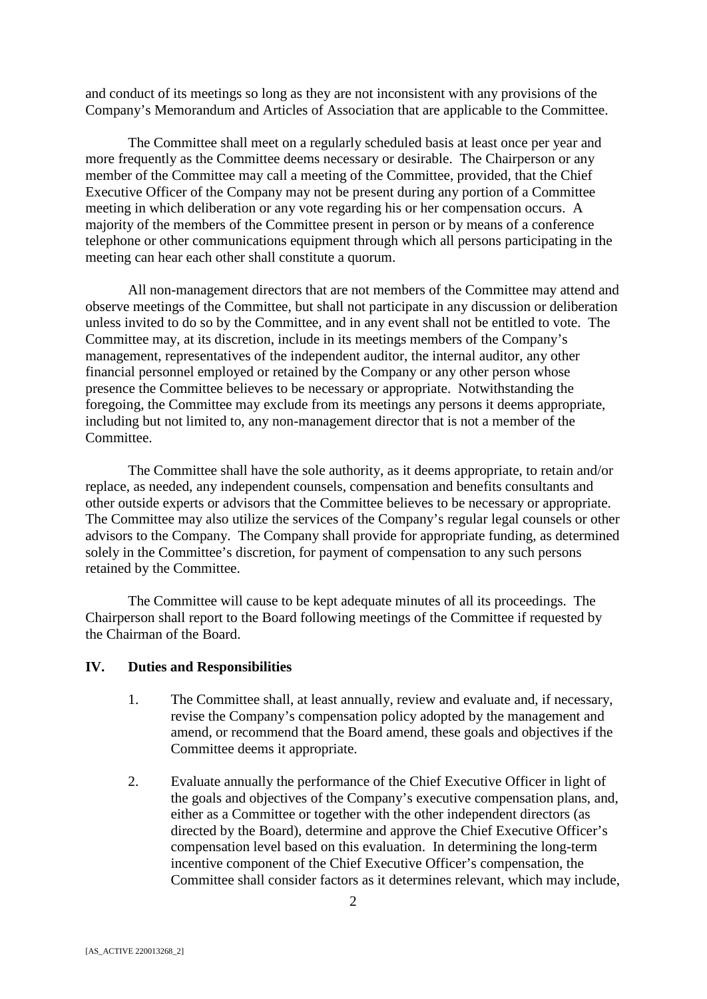and conduct of its meetings so long as they are not inconsistent with any provisions of the Company's Memorandum and Articles of Association that are applicable to the Committee.

The Committee shall meet on a regularly scheduled basis at least once per year and more frequently as the Committee deems necessary or desirable. The Chairperson or any member of the Committee may call a meeting of the Committee, provided, that the Chief Executive Officer of the Company may not be present during any portion of a Committee meeting in which deliberation or any vote regarding his or her compensation occurs. A majority of the members of the Committee present in person or by means of a conference telephone or other communications equipment through which all persons participating in the meeting can hear each other shall constitute a quorum.

All non-management directors that are not members of the Committee may attend and observe meetings of the Committee, but shall not participate in any discussion or deliberation unless invited to do so by the Committee, and in any event shall not be entitled to vote. The Committee may, at its discretion, include in its meetings members of the Company's management, representatives of the independent auditor, the internal auditor, any other financial personnel employed or retained by the Company or any other person whose presence the Committee believes to be necessary or appropriate. Notwithstanding the foregoing, the Committee may exclude from its meetings any persons it deems appropriate, including but not limited to, any non-management director that is not a member of the Committee.

The Committee shall have the sole authority, as it deems appropriate, to retain and/or replace, as needed, any independent counsels, compensation and benefits consultants and other outside experts or advisors that the Committee believes to be necessary or appropriate. The Committee may also utilize the services of the Company's regular legal counsels or other advisors to the Company. The Company shall provide for appropriate funding, as determined solely in the Committee's discretion, for payment of compensation to any such persons retained by the Committee.

The Committee will cause to be kept adequate minutes of all its proceedings. The Chairperson shall report to the Board following meetings of the Committee if requested by the Chairman of the Board.

#### **IV. Duties and Responsibilities**

- 1. The Committee shall, at least annually, review and evaluate and, if necessary, revise the Company's compensation policy adopted by the management and amend, or recommend that the Board amend, these goals and objectives if the Committee deems it appropriate.
- 2. Evaluate annually the performance of the Chief Executive Officer in light of the goals and objectives of the Company's executive compensation plans, and, either as a Committee or together with the other independent directors (as directed by the Board), determine and approve the Chief Executive Officer's compensation level based on this evaluation. In determining the long-term incentive component of the Chief Executive Officer's compensation, the Committee shall consider factors as it determines relevant, which may include,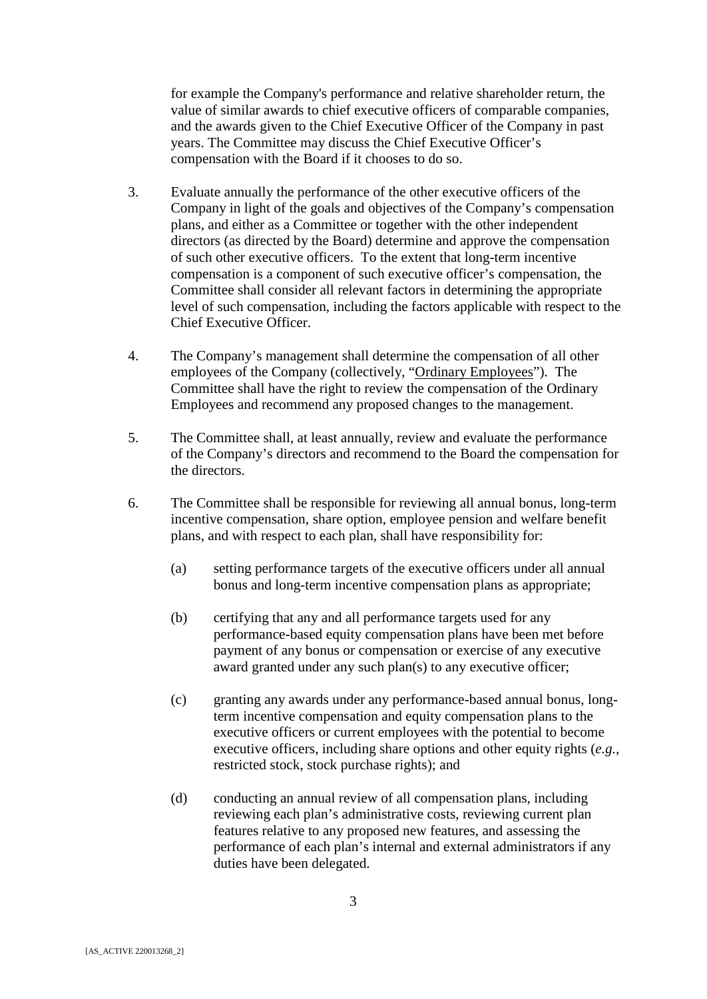for example the Company's performance and relative shareholder return, the value of similar awards to chief executive officers of comparable companies, and the awards given to the Chief Executive Officer of the Company in past years. The Committee may discuss the Chief Executive Officer's compensation with the Board if it chooses to do so.

- 3. Evaluate annually the performance of the other executive officers of the Company in light of the goals and objectives of the Company's compensation plans, and either as a Committee or together with the other independent directors (as directed by the Board) determine and approve the compensation of such other executive officers. To the extent that long-term incentive compensation is a component of such executive officer's compensation, the Committee shall consider all relevant factors in determining the appropriate level of such compensation, including the factors applicable with respect to the Chief Executive Officer.
- 4. The Company's management shall determine the compensation of all other employees of the Company (collectively, "Ordinary Employees"). The Committee shall have the right to review the compensation of the Ordinary Employees and recommend any proposed changes to the management.
- 5. The Committee shall, at least annually, review and evaluate the performance of the Company's directors and recommend to the Board the compensation for the directors.
- 6. The Committee shall be responsible for reviewing all annual bonus, long-term incentive compensation, share option, employee pension and welfare benefit plans, and with respect to each plan, shall have responsibility for:
	- (a) setting performance targets of the executive officers under all annual bonus and long-term incentive compensation plans as appropriate;
	- (b) certifying that any and all performance targets used for any performance-based equity compensation plans have been met before payment of any bonus or compensation or exercise of any executive award granted under any such plan(s) to any executive officer;
	- (c) granting any awards under any performance-based annual bonus, longterm incentive compensation and equity compensation plans to the executive officers or current employees with the potential to become executive officers, including share options and other equity rights (*e.g.,* restricted stock, stock purchase rights); and
	- (d) conducting an annual review of all compensation plans, including reviewing each plan's administrative costs, reviewing current plan features relative to any proposed new features, and assessing the performance of each plan's internal and external administrators if any duties have been delegated.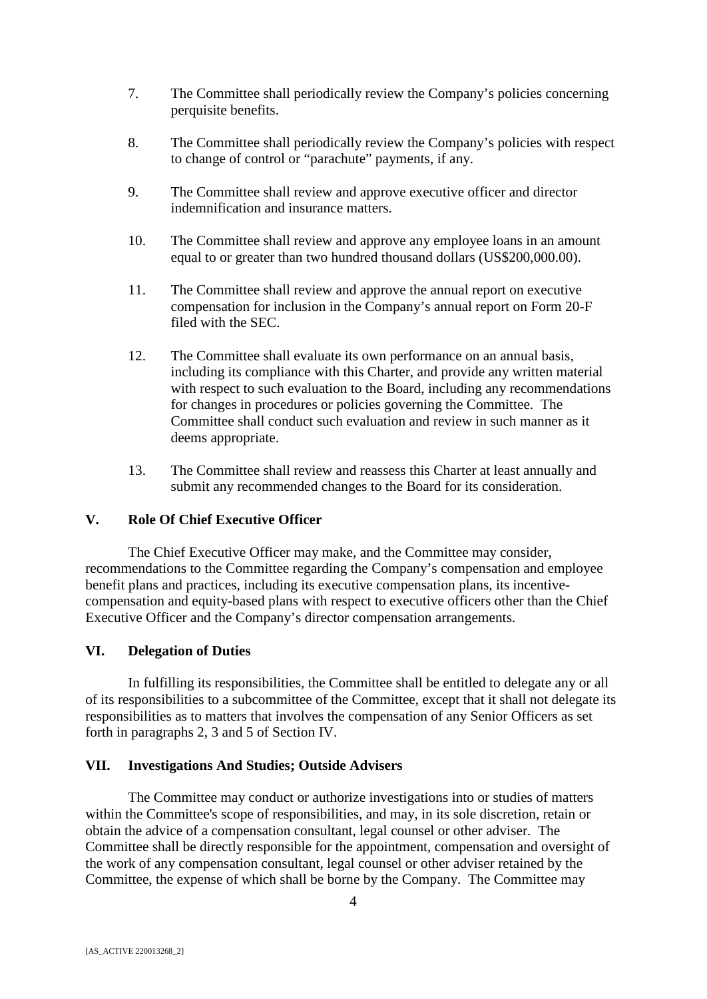- 7. The Committee shall periodically review the Company's policies concerning perquisite benefits.
- 8. The Committee shall periodically review the Company's policies with respect to change of control or "parachute" payments, if any.
- 9. The Committee shall review and approve executive officer and director indemnification and insurance matters.
- 10. The Committee shall review and approve any employee loans in an amount equal to or greater than two hundred thousand dollars (US\$200,000.00).
- 11. The Committee shall review and approve the annual report on executive compensation for inclusion in the Company's annual report on Form 20-F filed with the SEC.
- 12. The Committee shall evaluate its own performance on an annual basis, including its compliance with this Charter, and provide any written material with respect to such evaluation to the Board, including any recommendations for changes in procedures or policies governing the Committee. The Committee shall conduct such evaluation and review in such manner as it deems appropriate.
- 13. The Committee shall review and reassess this Charter at least annually and submit any recommended changes to the Board for its consideration.

## **V. Role Of Chief Executive Officer**

The Chief Executive Officer may make, and the Committee may consider, recommendations to the Committee regarding the Company's compensation and employee benefit plans and practices, including its executive compensation plans, its incentivecompensation and equity-based plans with respect to executive officers other than the Chief Executive Officer and the Company's director compensation arrangements.

## **VI. Delegation of Duties**

In fulfilling its responsibilities, the Committee shall be entitled to delegate any or all of its responsibilities to a subcommittee of the Committee, except that it shall not delegate its responsibilities as to matters that involves the compensation of any Senior Officers as set forth in paragraphs 2, 3 and 5 of Section IV.

## **VII. Investigations And Studies; Outside Advisers**

The Committee may conduct or authorize investigations into or studies of matters within the Committee's scope of responsibilities, and may, in its sole discretion, retain or obtain the advice of a compensation consultant, legal counsel or other adviser. The Committee shall be directly responsible for the appointment, compensation and oversight of the work of any compensation consultant, legal counsel or other adviser retained by the Committee, the expense of which shall be borne by the Company. The Committee may